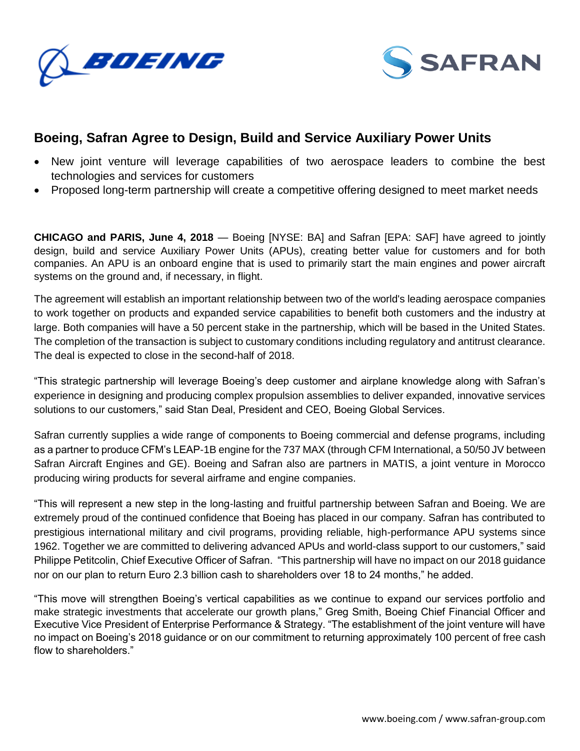



## **Boeing, Safran Agree to Design, Build and Service Auxiliary Power Units**

- New joint venture will leverage capabilities of two aerospace leaders to combine the best technologies and services for customers
- Proposed long-term partnership will create a competitive offering designed to meet market needs

**CHICAGO and PARIS, June 4, 2018** — Boeing [NYSE: BA] and Safran [EPA: SAF] have agreed to jointly design, build and service Auxiliary Power Units (APUs), creating better value for customers and for both companies. An APU is an onboard engine that is used to primarily start the main engines and power aircraft systems on the ground and, if necessary, in flight.

The agreement will establish an important relationship between two of the world's leading aerospace companies to work together on products and expanded service capabilities to benefit both customers and the industry at large. Both companies will have a 50 percent stake in the partnership, which will be based in the United States. The completion of the transaction is subject to customary conditions including regulatory and antitrust clearance. The deal is expected to close in the second-half of 2018.

"This strategic partnership will leverage Boeing's deep customer and airplane knowledge along with Safran's experience in designing and producing complex propulsion assemblies to deliver expanded, innovative services solutions to our customers," said Stan Deal, President and CEO, Boeing Global Services.

Safran currently supplies a wide range of components to Boeing commercial and defense programs, including as a partner to produce CFM's LEAP-1B engine for the 737 MAX (through CFM International, a 50/50 JV between Safran Aircraft Engines and GE). Boeing and Safran also are partners in MATIS, a joint venture in Morocco producing wiring products for several airframe and engine companies.

"This will represent a new step in the long-lasting and fruitful partnership between Safran and Boeing. We are extremely proud of the continued confidence that Boeing has placed in our company. Safran has contributed to prestigious international military and civil programs, providing reliable, high-performance APU systems since 1962. Together we are committed to delivering advanced APUs and world-class support to our customers," said Philippe Petitcolin, Chief Executive Officer of Safran. "This partnership will have no impact on our 2018 guidance nor on our plan to return Euro 2.3 billion cash to shareholders over 18 to 24 months," he added.

"This move will strengthen Boeing's vertical capabilities as we continue to expand our services portfolio and make strategic investments that accelerate our growth plans," Greg Smith, Boeing Chief Financial Officer and Executive Vice President of Enterprise Performance & Strategy. "The establishment of the joint venture will have no impact on Boeing's 2018 guidance or on our commitment to returning approximately 100 percent of free cash flow to shareholders."